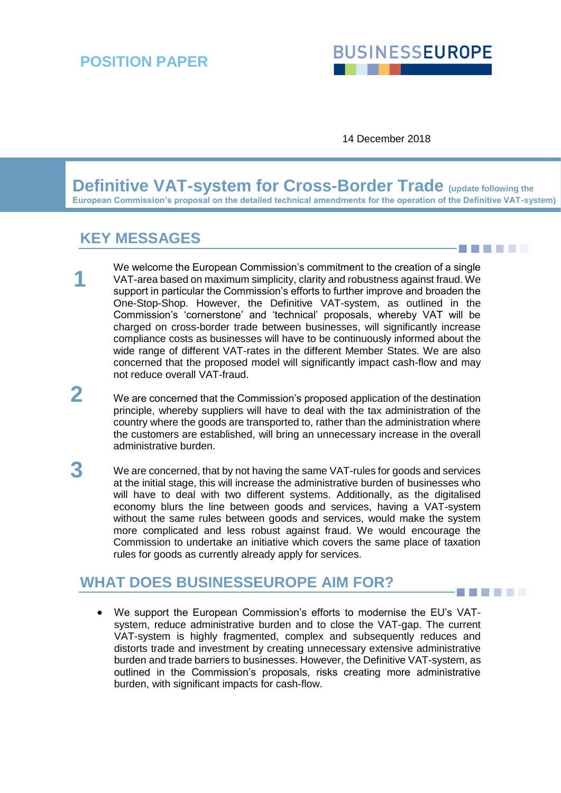# **BUSINESSEUROPE**

**BERTHER** 

**BILLER** 

14 December 2018

**Definitive VAT-system for Cross-Border Trade (update following the European Commission's proposal on the detailed technical amendments for the operation of the Definitive VAT-system)**

## **KEY MESSAGES**

- We welcome the European Commission's commitment to the creation of a single VAT-area based on maximum simplicity, clarity and robustness against fraud. We support in particular the Commission's efforts to further improve and broaden the One-Stop-Shop. However, the Definitive VAT-system, as outlined in the Commission's 'cornerstone' and 'technical' proposals, whereby VAT will be charged on cross-border trade between businesses, will significantly increase compliance costs as businesses will have to be continuously informed about the wide range of different VAT-rates in the different Member States. We are also concerned that the proposed model will significantly impact cash-flow and may not reduce overall VAT-fraud. **1**
- We are concerned that the Commission's proposed application of the destination principle, whereby suppliers will have to deal with the tax administration of the country where the goods are transported to, rather than the administration where the customers are established, will bring an unnecessary increase in the overall administrative burden. **2**
- We are concerned, that by not having the same VAT-rules for goods and services at the initial stage, this will increase the administrative burden of businesses who will have to deal with two different systems. Additionally, as the digitalised economy blurs the line between goods and services, having a VAT-system without the same rules between goods and services, would make the system more complicated and less robust against fraud. We would encourage the Commission to undertake an initiative which covers the same place of taxation rules for goods as currently already apply for services. **3**

## **WHAT DOES BUSINESSEUROPE AIM FOR?**

• We support the European Commission's efforts to modernise the EU's VATsystem, reduce administrative burden and to close the VAT-gap. The current VAT-system is highly fragmented, complex and subsequently reduces and distorts trade and investment by creating unnecessary extensive administrative burden and trade barriers to businesses. However, the Definitive VAT-system, as outlined in the Commission's proposals, risks creating more administrative burden, with significant impacts for cash-flow.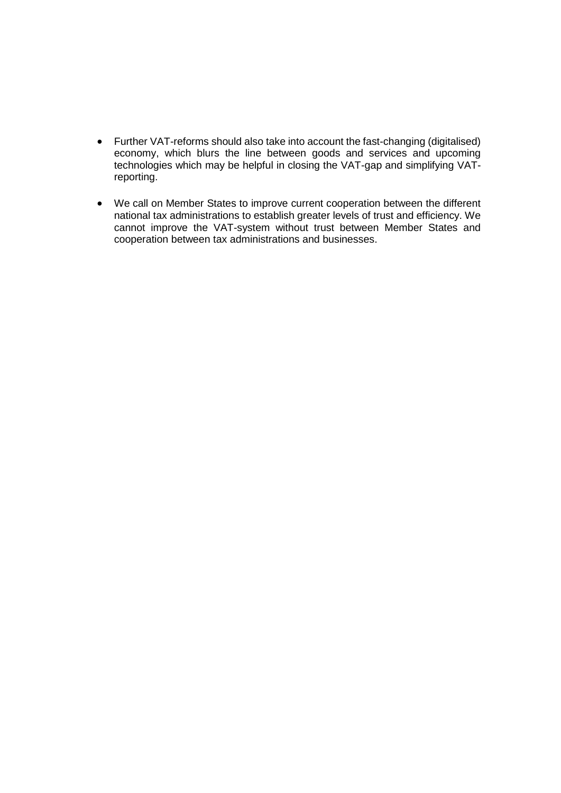- Further VAT-reforms should also take into account the fast-changing (digitalised) economy, which blurs the line between goods and services and upcoming technologies which may be helpful in closing the VAT-gap and simplifying VATreporting.
- We call on Member States to improve current cooperation between the different national tax administrations to establish greater levels of trust and efficiency. We cannot improve the VAT-system without trust between Member States and cooperation between tax administrations and businesses.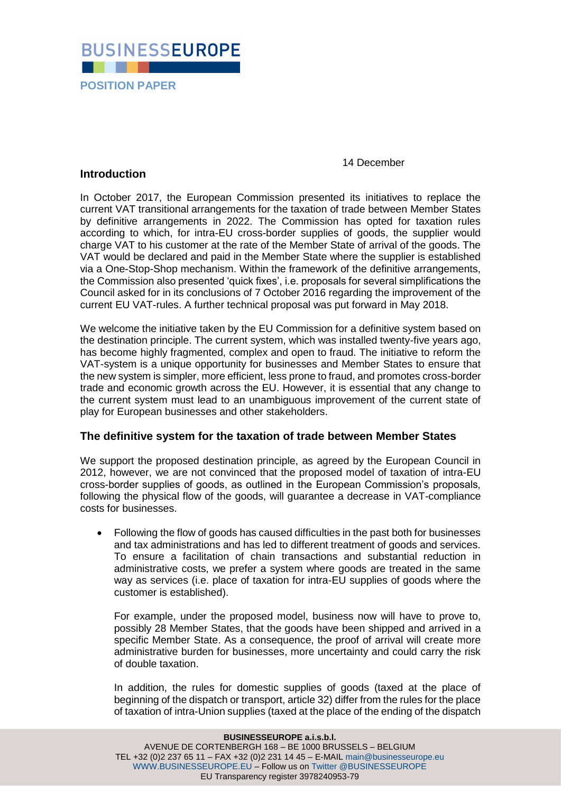

#### 14 December

#### **Introduction**

In October 2017, the European Commission presented its initiatives to replace the current VAT transitional arrangements for the taxation of trade between Member States by definitive arrangements in 2022. The Commission has opted for taxation rules according to which, for intra-EU cross-border supplies of goods, the supplier would charge VAT to his customer at the rate of the Member State of arrival of the goods. The VAT would be declared and paid in the Member State where the supplier is established via a One-Stop-Shop mechanism. Within the framework of the definitive arrangements, the Commission also presented 'quick fixes', i.e. proposals for several simplifications the Council asked for in its conclusions of 7 October 2016 regarding the improvement of the current EU VAT-rules. A further technical proposal was put forward in May 2018.

We welcome the initiative taken by the EU Commission for a definitive system based on the destination principle. The current system, which was installed twenty-five years ago, has become highly fragmented, complex and open to fraud. The initiative to reform the VAT-system is a unique opportunity for businesses and Member States to ensure that the new system is simpler, more efficient, less prone to fraud, and promotes cross-border trade and economic growth across the EU. However, it is essential that any change to the current system must lead to an unambiguous improvement of the current state of play for European businesses and other stakeholders.

#### **The definitive system for the taxation of trade between Member States**

We support the proposed destination principle, as agreed by the European Council in 2012, however, we are not convinced that the proposed model of taxation of intra-EU cross-border supplies of goods, as outlined in the European Commission's proposals, following the physical flow of the goods, will guarantee a decrease in VAT-compliance costs for businesses.

• Following the flow of goods has caused difficulties in the past both for businesses and tax administrations and has led to different treatment of goods and services. To ensure a facilitation of chain transactions and substantial reduction in administrative costs, we prefer a system where goods are treated in the same way as services (i.e. place of taxation for intra-EU supplies of goods where the customer is established).

For example, under the proposed model, business now will have to prove to, possibly 28 Member States, that the goods have been shipped and arrived in a specific Member State. As a consequence, the proof of arrival will create more administrative burden for businesses, more uncertainty and could carry the risk of double taxation.

In addition, the rules for domestic supplies of goods (taxed at the place of beginning of the dispatch or transport, article 32) differ from the rules for the place of taxation of intra-Union supplies (taxed at the place of the ending of the dispatch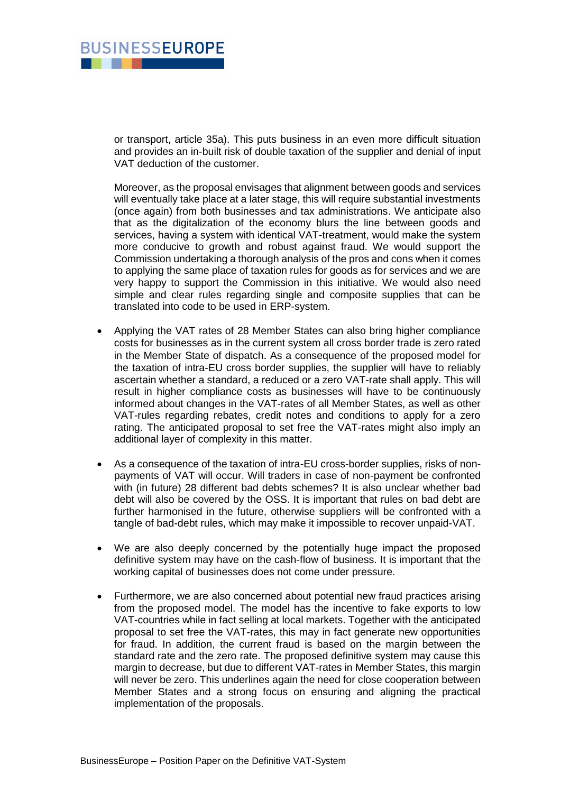

or transport, article 35a). This puts business in an even more difficult situation and provides an in-built risk of double taxation of the supplier and denial of input VAT deduction of the customer.

Moreover, as the proposal envisages that alignment between goods and services will eventually take place at a later stage, this will require substantial investments (once again) from both businesses and tax administrations. We anticipate also that as the digitalization of the economy blurs the line between goods and services, having a system with identical VAT-treatment, would make the system more conducive to growth and robust against fraud. We would support the Commission undertaking a thorough analysis of the pros and cons when it comes to applying the same place of taxation rules for goods as for services and we are very happy to support the Commission in this initiative. We would also need simple and clear rules regarding single and composite supplies that can be translated into code to be used in ERP-system.

- Applying the VAT rates of 28 Member States can also bring higher compliance costs for businesses as in the current system all cross border trade is zero rated in the Member State of dispatch. As a consequence of the proposed model for the taxation of intra-EU cross border supplies, the supplier will have to reliably ascertain whether a standard, a reduced or a zero VAT-rate shall apply. This will result in higher compliance costs as businesses will have to be continuously informed about changes in the VAT-rates of all Member States, as well as other VAT-rules regarding rebates, credit notes and conditions to apply for a zero rating. The anticipated proposal to set free the VAT-rates might also imply an additional layer of complexity in this matter.
- As a consequence of the taxation of intra-EU cross-border supplies, risks of nonpayments of VAT will occur. Will traders in case of non-payment be confronted with (in future) 28 different bad debts schemes? It is also unclear whether bad debt will also be covered by the OSS. It is important that rules on bad debt are further harmonised in the future, otherwise suppliers will be confronted with a tangle of bad-debt rules, which may make it impossible to recover unpaid-VAT.
- We are also deeply concerned by the potentially huge impact the proposed definitive system may have on the cash-flow of business. It is important that the working capital of businesses does not come under pressure.
- Furthermore, we are also concerned about potential new fraud practices arising from the proposed model. The model has the incentive to fake exports to low VAT-countries while in fact selling at local markets. Together with the anticipated proposal to set free the VAT-rates, this may in fact generate new opportunities for fraud. In addition, the current fraud is based on the margin between the standard rate and the zero rate. The proposed definitive system may cause this margin to decrease, but due to different VAT-rates in Member States, this margin will never be zero. This underlines again the need for close cooperation between Member States and a strong focus on ensuring and aligning the practical implementation of the proposals.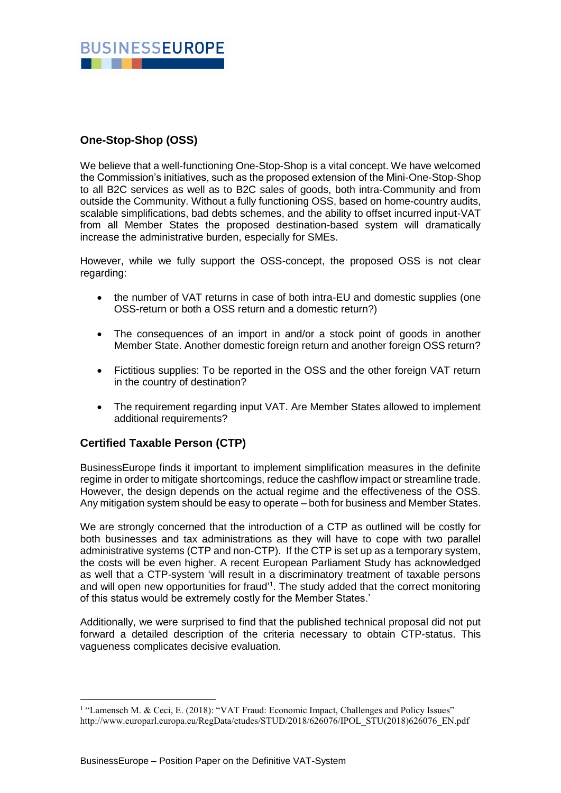

### **One-Stop-Shop (OSS)**

We believe that a well-functioning One-Stop-Shop is a vital concept. We have welcomed the Commission's initiatives, such as the proposed extension of the Mini-One-Stop-Shop to all B2C services as well as to B2C sales of goods, both intra-Community and from outside the Community. Without a fully functioning OSS, based on home-country audits, scalable simplifications, bad debts schemes, and the ability to offset incurred input-VAT from all Member States the proposed destination-based system will dramatically increase the administrative burden, especially for SMEs.

However, while we fully support the OSS-concept, the proposed OSS is not clear regarding:

- the number of VAT returns in case of both intra-EU and domestic supplies (one OSS-return or both a OSS return and a domestic return?)
- The consequences of an import in and/or a stock point of goods in another Member State. Another domestic foreign return and another foreign OSS return?
- Fictitious supplies: To be reported in the OSS and the other foreign VAT return in the country of destination?
- The requirement regarding input VAT. Are Member States allowed to implement additional requirements?

#### **Certified Taxable Person (CTP)**

1

BusinessEurope finds it important to implement simplification measures in the definite regime in order to mitigate shortcomings, reduce the cashflow impact or streamline trade. However, the design depends on the actual regime and the effectiveness of the OSS. Any mitigation system should be easy to operate – both for business and Member States.

We are strongly concerned that the introduction of a CTP as outlined will be costly for both businesses and tax administrations as they will have to cope with two parallel administrative systems (CTP and non-CTP). If the CTP is set up as a temporary system, the costs will be even higher. A recent European Parliament Study has acknowledged as well that a CTP-system 'will result in a discriminatory treatment of taxable persons and will open new opportunities for fraud<sup>11</sup>. The study added that the correct monitoring of this status would be extremely costly for the Member States.'

Additionally, we were surprised to find that the published technical proposal did not put forward a detailed description of the criteria necessary to obtain CTP-status. This vagueness complicates decisive evaluation.

<sup>&</sup>lt;sup>1</sup> "Lamensch M. & Ceci, E. (2018): "VAT Fraud: Economic Impact, Challenges and Policy Issues" http://www.europarl.europa.eu/RegData/etudes/STUD/2018/626076/IPOL\_STU(2018)626076\_EN.pdf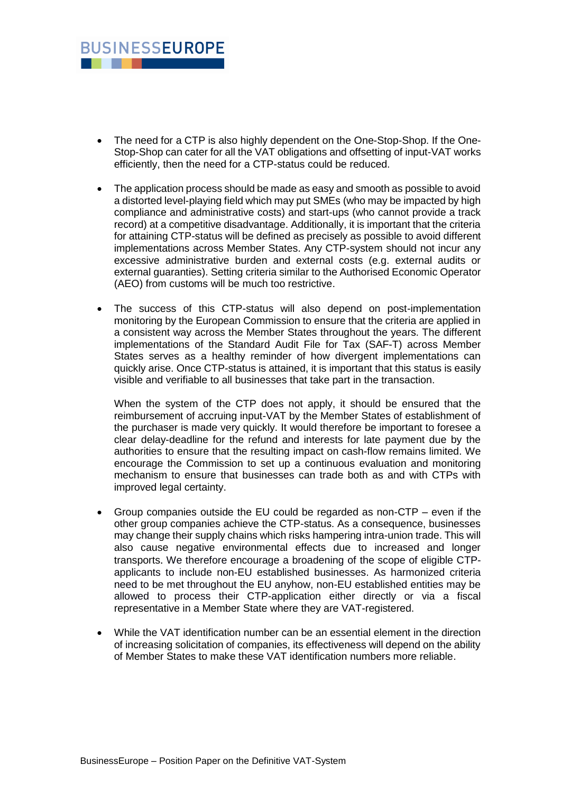

- The need for a CTP is also highly dependent on the One-Stop-Shop. If the One-Stop-Shop can cater for all the VAT obligations and offsetting of input-VAT works efficiently, then the need for a CTP-status could be reduced.
- The application process should be made as easy and smooth as possible to avoid a distorted level-playing field which may put SMEs (who may be impacted by high compliance and administrative costs) and start-ups (who cannot provide a track record) at a competitive disadvantage. Additionally, it is important that the criteria for attaining CTP-status will be defined as precisely as possible to avoid different implementations across Member States. Any CTP-system should not incur any excessive administrative burden and external costs (e.g. external audits or external guaranties). Setting criteria similar to the Authorised Economic Operator (AEO) from customs will be much too restrictive.
- The success of this CTP-status will also depend on post-implementation monitoring by the European Commission to ensure that the criteria are applied in a consistent way across the Member States throughout the years. The different implementations of the Standard Audit File for Tax (SAF-T) across Member States serves as a healthy reminder of how divergent implementations can quickly arise. Once CTP-status is attained, it is important that this status is easily visible and verifiable to all businesses that take part in the transaction.

When the system of the CTP does not apply, it should be ensured that the reimbursement of accruing input-VAT by the Member States of establishment of the purchaser is made very quickly. It would therefore be important to foresee a clear delay-deadline for the refund and interests for late payment due by the authorities to ensure that the resulting impact on cash-flow remains limited. We encourage the Commission to set up a continuous evaluation and monitoring mechanism to ensure that businesses can trade both as and with CTPs with improved legal certainty.

- Group companies outside the EU could be regarded as non-CTP even if the other group companies achieve the CTP-status. As a consequence, businesses may change their supply chains which risks hampering intra-union trade. This will also cause negative environmental effects due to increased and longer transports. We therefore encourage a broadening of the scope of eligible CTPapplicants to include non-EU established businesses. As harmonized criteria need to be met throughout the EU anyhow, non-EU established entities may be allowed to process their CTP-application either directly or via a fiscal representative in a Member State where they are VAT-registered.
- While the VAT identification number can be an essential element in the direction of increasing solicitation of companies, its effectiveness will depend on the ability of Member States to make these VAT identification numbers more reliable.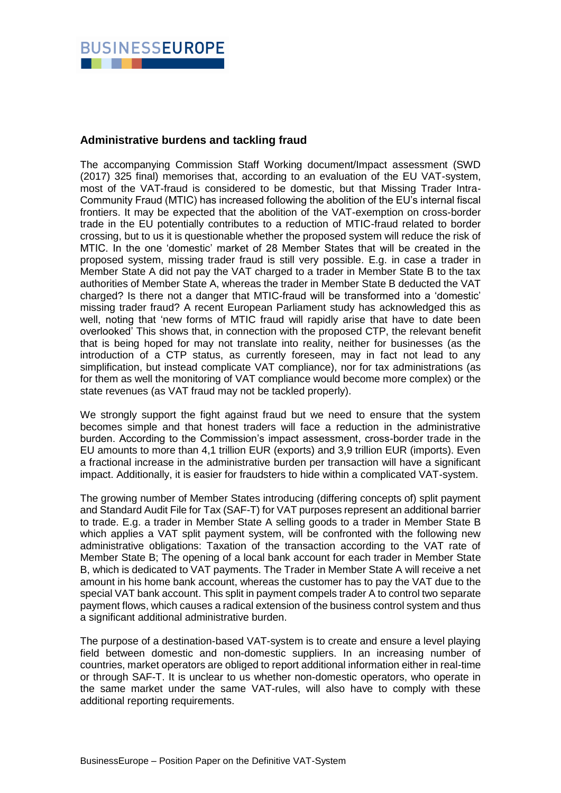

#### **Administrative burdens and tackling fraud**

The accompanying Commission Staff Working document/Impact assessment (SWD (2017) 325 final) memorises that, according to an evaluation of the EU VAT-system, most of the VAT-fraud is considered to be domestic, but that Missing Trader Intra-Community Fraud (MTIC) has increased following the abolition of the EU's internal fiscal frontiers. It may be expected that the abolition of the VAT-exemption on cross-border trade in the EU potentially contributes to a reduction of MTIC-fraud related to border crossing, but to us it is questionable whether the proposed system will reduce the risk of MTIC. In the one 'domestic' market of 28 Member States that will be created in the proposed system, missing trader fraud is still very possible. E.g. in case a trader in Member State A did not pay the VAT charged to a trader in Member State B to the tax authorities of Member State A, whereas the trader in Member State B deducted the VAT charged? Is there not a danger that MTIC-fraud will be transformed into a 'domestic' missing trader fraud? A recent European Parliament study has acknowledged this as well, noting that 'new forms of MTIC fraud will rapidly arise that have to date been overlooked' This shows that, in connection with the proposed CTP, the relevant benefit that is being hoped for may not translate into reality, neither for businesses (as the introduction of a CTP status, as currently foreseen, may in fact not lead to any simplification, but instead complicate VAT compliance), nor for tax administrations (as for them as well the monitoring of VAT compliance would become more complex) or the state revenues (as VAT fraud may not be tackled properly).

We strongly support the fight against fraud but we need to ensure that the system becomes simple and that honest traders will face a reduction in the administrative burden. According to the Commission's impact assessment, cross-border trade in the EU amounts to more than 4,1 trillion EUR (exports) and 3,9 trillion EUR (imports). Even a fractional increase in the administrative burden per transaction will have a significant impact. Additionally, it is easier for fraudsters to hide within a complicated VAT-system.

The growing number of Member States introducing (differing concepts of) split payment and Standard Audit File for Tax (SAF-T) for VAT purposes represent an additional barrier to trade. E.g. a trader in Member State A selling goods to a trader in Member State B which applies a VAT split payment system, will be confronted with the following new administrative obligations: Taxation of the transaction according to the VAT rate of Member State B; The opening of a local bank account for each trader in Member State B, which is dedicated to VAT payments. The Trader in Member State A will receive a net amount in his home bank account, whereas the customer has to pay the VAT due to the special VAT bank account. This split in payment compels trader A to control two separate payment flows, which causes a radical extension of the business control system and thus a significant additional administrative burden.

The purpose of a destination-based VAT-system is to create and ensure a level playing field between domestic and non-domestic suppliers. In an increasing number of countries, market operators are obliged to report additional information either in real-time or through SAF-T. It is unclear to us whether non-domestic operators, who operate in the same market under the same VAT-rules, will also have to comply with these additional reporting requirements.